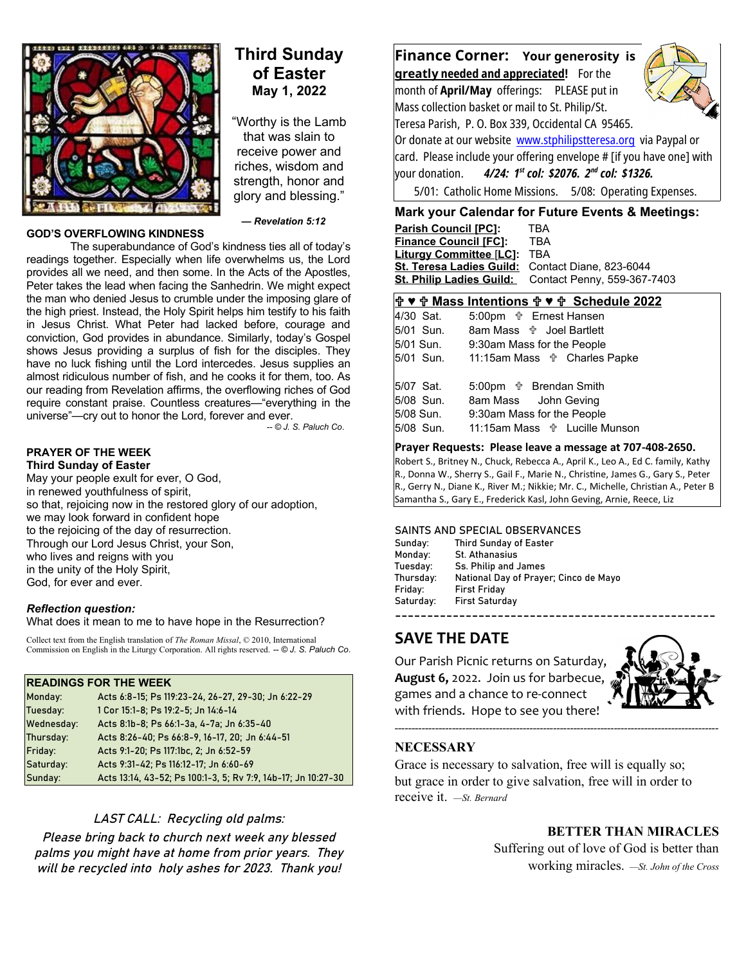

# **Third Sunday of Easter May 1, 2022**

"Worthy is the Lamb that was slain to receive power and riches, wisdom and strength, honor and glory and blessing."

### **GOD'S OVERFLOWING KINDNESS**

The superabundance of God's kindness ties all of today's readings together. Especially when life overwhelms us, the Lord provides all we need, and then some. In the Acts of the Apostles, Peter takes the lead when facing the Sanhedrin. We might expect the man who denied Jesus to crumble under the imposing glare of the high priest. Instead, the Holy Spirit helps him testify to his faith in Jesus Christ. What Peter had lacked before, courage and conviction, God provides in abundance. Similarly, today's Gospel shows Jesus providing a surplus of fish for the disciples. They have no luck fishing until the Lord intercedes. Jesus supplies an almost ridiculous number of fish, and he cooks it for them, too. As our reading from Revelation affirms, the overflowing riches of God require constant praise. Countless creatures—"everything in the universe"—cry out to honor the Lord, forever and ever.

*-- © J. S. Paluch Co*.

#### **PRAYER OF THE WEEK Third Sunday of Easter**

May your people exult for ever, O God, in renewed youthfulness of spirit, so that, rejoicing now in the restored glory of our adoption, we may look forward in confident hope to the rejoicing of the day of resurrection. Through our Lord Jesus Christ, your Son, who lives and reigns with you in the unity of the Holy Spirit, God, for ever and ever.

#### *Reflection question:*

What does it mean to me to have hope in the Resurrection?

Collect text from the English translation of *The Roman Missal*, © 2010, International Commission on English in the Liturgy Corporation. All rights reserved. *-- © J. S. Paluch Co*.

### **READINGS FOR THE WEEK**

| Monday:    | Acts 6:8-15; Ps 119:23-24, 26-27, 29-30; Jn 6:22-29           |
|------------|---------------------------------------------------------------|
| Tuesday:   | 1 Cor 15:1-8; Ps 19:2-5; Jn 14:6-14                           |
| Wednesday: | Acts 8:1b-8; Ps 66:1-3a, 4-7a; Jn 6:35-40                     |
| Thursday:  | Acts 8:26-40; Ps 66:8-9, 16-17, 20; Jn 6:44-51                |
| Friday:    | Acts 9:1-20; Ps 117:1bc, 2; Jn 6:52-59                        |
| Saturday:  | Acts 9:31-42; Ps 116:12-17; Jn 6:60-69                        |
| Sunday:    | Acts 13:14, 43-52; Ps 100:1-3, 5; Rv 7:9, 14b-17; Jn 10:27-30 |
|            |                                                               |

## LAST CALL: Recycling old palms:

Please bring back to church next week any blessed palms you might have at home from prior years. They will be recycled into holy ashes for 2023. Thank you!

**Finance Corner: Your generosity is greatl y needed and appreciated!** For the month of **April/May** offerings: PLEASE put in Mass collection basket or mail to St. Philip/St. Teresa Parish, P. O. Box 339, Occidental CA 95465. Or donate at our website [www.stphilipstteresa.org](http://www.stphilipstteresa.org/) via Paypal or card. Please include your offering envelope # [if you have one] with your donation. *4/24: 1st col: \$2076. 2nd col: \$1326.* 5/01: Catholic Home Missions. 5/08: Operating Expenses.

### **Mark your Calendar for Future Events & Meetings:**

| <b>Parish Council [PC]:</b>                      | TBA                         |
|--------------------------------------------------|-----------------------------|
| <b>Finance Council [FC]:</b>                     | TRA                         |
| <b>Liturgy Committee [LC]:</b>                   | TBA                         |
| St. Teresa Ladies Guild: Contact Diane, 823-6044 |                             |
| <b>St. Philip Ladies Guild:</b>                  | Contact Penny, 559-367-7403 |
|                                                  |                             |

### **♥ Mass Intentions ♥ Schedule 2022**

| 4/30 Sat. | 5:00pm <b><math>\oplus</math></b> Ernest Hansen |
|-----------|-------------------------------------------------|
| 5/01 Sun. | 8am Mass $\psi$ Joel Bartlett                   |
| 5/01 Sun. | 9:30am Mass for the People                      |
| 5/01 Sun. | 11:15am Mass $\psi$ Charles Papke               |
|           |                                                 |
| 5/07 Sat. | 5:00pm $\oplus$ Brendan Smith                   |
| 5/08 Sun. | 8am Mass John Geving                            |
| 5/08 Sun. | 9:30am Mass for the People                      |
| 5/08 Sun. | 11:15am Mass <b>the Lucille Munson</b>          |
|           |                                                 |

#### **Prayer Requests: Please leave a message at 707-408-2650.**

Robert S., Britney N., Chuck, Rebecca A., April K., Leo A., Ed C. family, Kathy R., Donna W., Sherry S., Gail F., Marie N., Christine, James G., Gary S., Peter R., Gerry N., Diane K., River M.; Nikkie; Mr. C., Michelle, Christian A., Peter B Samantha S., Gary E., Frederick Kasl, John Geving, Arnie, Reece, Liz

#### SAINTS AND SPECIAL OBSERVANCES

| Sunday:   | <b>Third Sunday of Easter</b>         |
|-----------|---------------------------------------|
| Monday:   | St. Athanasius                        |
| Tuesday:  | Ss. Philip and James                  |
| Thursday: | National Day of Prayer; Cinco de Mayo |
| Friday:   | <b>First Friday</b>                   |
| Saturday: | <b>First Saturday</b>                 |
|           |                                       |
|           |                                       |

# **SAVE THE DATE**

Our Parish Picnic returns on Saturday, **August 6,** 2022. Join us for barbecue, games and a chance to re-connect with friends. Hope to see you there!



### **NECESSARY**

Grace is necessary to salvation, free will is equally so; but grace in order to give salvation, free will in order to receive it. *—St. Bernard*

------------------------------------------------------------------------------------------------

**BETTER THAN MIRACLES** Suffering out of love of God is better than working miracles. *—St. John of the Cross*